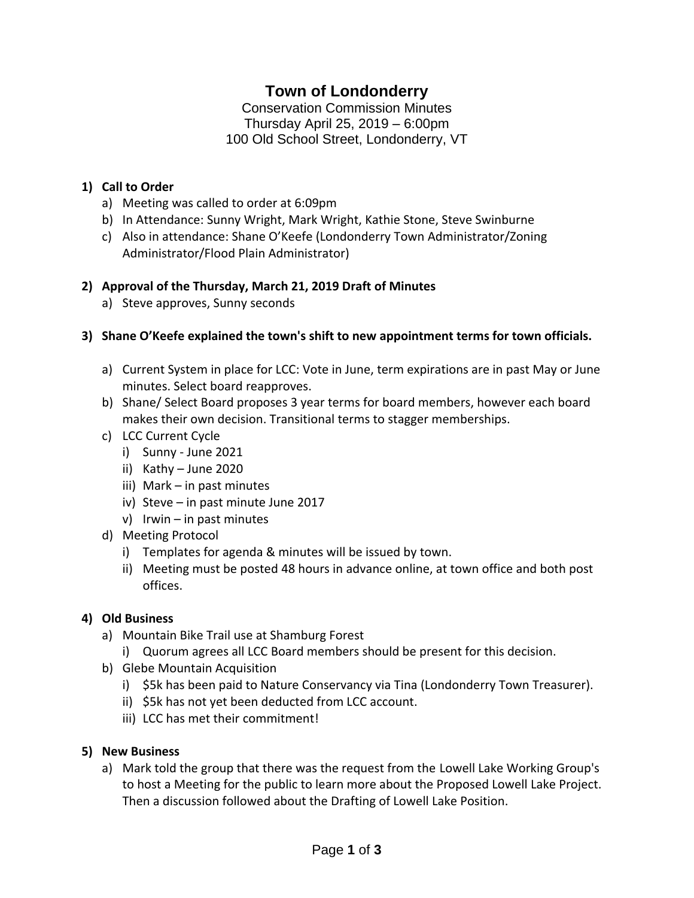# **Town of Londonderry**

Conservation Commission Minutes Thursday April 25, 2019 – 6:00pm 100 Old School Street, Londonderry, VT

### **1) Call to Order**

- a) Meeting was called to order at 6:09pm
- b) In Attendance: Sunny Wright, Mark Wright, Kathie Stone, Steve Swinburne
- c) Also in attendance: Shane O'Keefe (Londonderry Town Administrator/Zoning Administrator/Flood Plain Administrator)

### **2) Approval of the Thursday, March 21, 2019 Draft of Minutes**

a) Steve approves, Sunny seconds

### **3) Shane O'Keefe explained the town's shift to new appointment terms for town officials.**

- a) Current System in place for LCC: Vote in June, term expirations are in past May or June minutes. Select board reapproves.
- b) Shane/ Select Board proposes 3 year terms for board members, however each board makes their own decision. Transitional terms to stagger memberships.
- c) LCC Current Cycle
	- i) Sunny June 2021
	- ii) Kathy June 2020
	- iii) Mark in past minutes
	- iv) Steve in past minute June 2017
	- v) Irwin in past minutes
- d) Meeting Protocol
	- i) Templates for agenda & minutes will be issued by town.
	- ii) Meeting must be posted 48 hours in advance online, at town office and both post offices.

### **4) Old Business**

- a) Mountain Bike Trail use at Shamburg Forest
	- i) Quorum agrees all LCC Board members should be present for this decision.
- b) Glebe Mountain Acquisition
	- i) \$5k has been paid to Nature Conservancy via Tina (Londonderry Town Treasurer).
	- ii) \$5k has not yet been deducted from LCC account.
	- iii) LCC has met their commitment!

### **5) New Business**

a) Mark told the group that there was the request from the Lowell Lake Working Group's to host a Meeting for the public to learn more about the Proposed Lowell Lake Project. Then a discussion followed about the Drafting of Lowell Lake Position.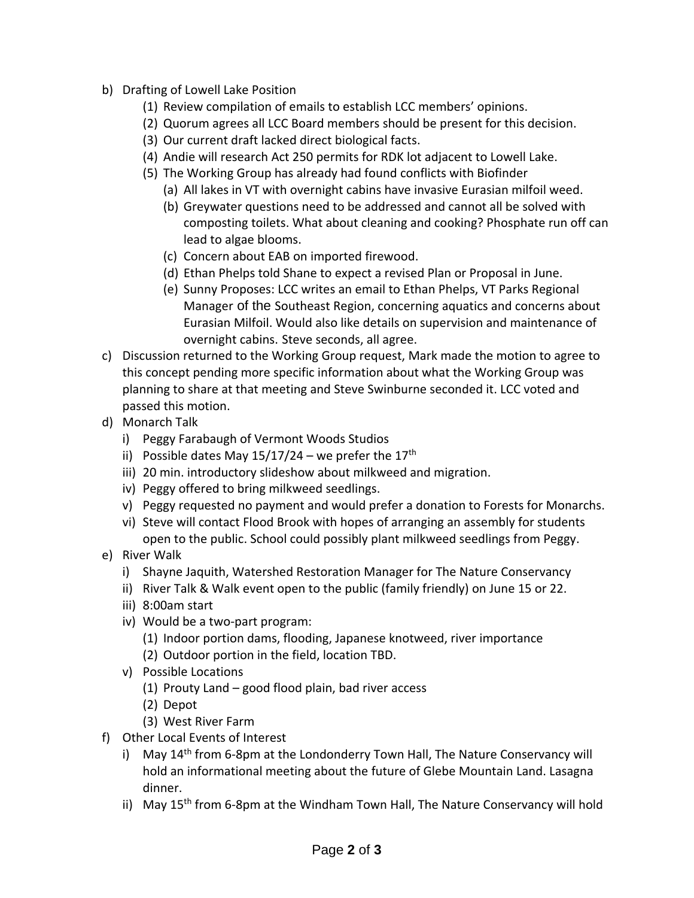- b) Drafting of Lowell Lake Position
	- (1) Review compilation of emails to establish LCC members' opinions.
	- (2) Quorum agrees all LCC Board members should be present for this decision.
	- (3) Our current draft lacked direct biological facts.
	- (4) Andie will research Act 250 permits for RDK lot adjacent to Lowell Lake.
	- (5) The Working Group has already had found conflicts with Biofinder
		- (a) All lakes in VT with overnight cabins have invasive Eurasian milfoil weed.
		- (b) Greywater questions need to be addressed and cannot all be solved with composting toilets. What about cleaning and cooking? Phosphate run off can lead to algae blooms.
		- (c) Concern about EAB on imported firewood.
		- (d) Ethan Phelps told Shane to expect a revised Plan or Proposal in June.
		- (e) Sunny Proposes: LCC writes an email to Ethan Phelps, VT Parks Regional Manager of the Southeast Region, concerning aquatics and concerns about Eurasian Milfoil. Would also like details on supervision and maintenance of overnight cabins. Steve seconds, all agree.
- c) Discussion returned to the Working Group request, Mark made the motion to agree to this concept pending more specific information about what the Working Group was planning to share at that meeting and Steve Swinburne seconded it. LCC voted and passed this motion.
- d) Monarch Talk
	- i) Peggy Farabaugh of Vermont Woods Studios
	- ii) Possible dates May  $15/17/24$  we prefer the  $17<sup>th</sup>$
	- iii) 20 min. introductory slideshow about milkweed and migration.
	- iv) Peggy offered to bring milkweed seedlings.
	- v) Peggy requested no payment and would prefer a donation to Forests for Monarchs.
	- vi) Steve will contact Flood Brook with hopes of arranging an assembly for students open to the public. School could possibly plant milkweed seedlings from Peggy.
- e) River Walk
	- i) Shayne Jaquith, Watershed Restoration Manager for The Nature Conservancy
	- ii) River Talk & Walk event open to the public (family friendly) on June 15 or 22.
	- iii) 8:00am start
	- iv) Would be a two-part program:
		- (1) Indoor portion dams, flooding, Japanese knotweed, river importance (2) Outdoor portion in the field, location TBD.
	- v) Possible Locations
		- (1) Prouty Land good flood plain, bad river access
		- (2) Depot
		- (3) West River Farm
- f) Other Local Events of Interest
	- i) May 14<sup>th</sup> from 6-8pm at the Londonderry Town Hall, The Nature Conservancy will hold an informational meeting about the future of Glebe Mountain Land. Lasagna dinner.
	- ii) May  $15<sup>th</sup>$  from 6-8pm at the Windham Town Hall, The Nature Conservancy will hold